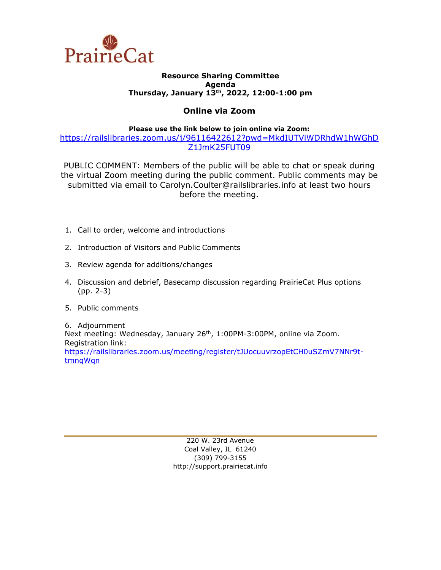

# **Resource Sharing Committee Agenda Thursday, January 13th, 2022, 12:00-1:00 pm**

# **Online via Zoom**

**Please use the link below to join online via Zoom:**

[https://railslibraries.zoom.us/j/96116422612?pwd=MkdIUTViWDRhdW1hWGhD](https://railslibraries.zoom.us/j/96116422612?pwd=MkdIUTViWDRhdW1hWGhDZ1JmK25FUT09) [Z1JmK25FUT09](https://railslibraries.zoom.us/j/96116422612?pwd=MkdIUTViWDRhdW1hWGhDZ1JmK25FUT09)

PUBLIC COMMENT: Members of the public will be able to chat or speak during the virtual Zoom meeting during the public comment. Public comments may be submitted via email to Carolyn.Coulter@railslibraries.info at least two hours before the meeting.

- 1. Call to order, welcome and introductions
- 2. Introduction of Visitors and Public Comments
- 3. Review agenda for additions/changes
- 4. Discussion and debrief, Basecamp discussion regarding PrairieCat Plus options (pp. 2-3)
- 5. Public comments

6. Adjournment Next meeting: Wednesday, January 26<sup>th</sup>, 1:00PM-3:00PM, online via Zoom. Registration link: [https://railslibraries.zoom.us/meeting/register/tJUocuuvrzopEtCH0uSZmV7NNr9t](https://railslibraries.zoom.us/meeting/register/tJUocuuvrzopEtCH0uSZmV7NNr9t-tmnqWqn)[tmnqWqn](https://railslibraries.zoom.us/meeting/register/tJUocuuvrzopEtCH0uSZmV7NNr9t-tmnqWqn)

> 220 W. 23rd Avenue Coal Valley, IL 61240 (309) 799-3155 [http://support.prairiecat.info](http://support.prairiecat.info/)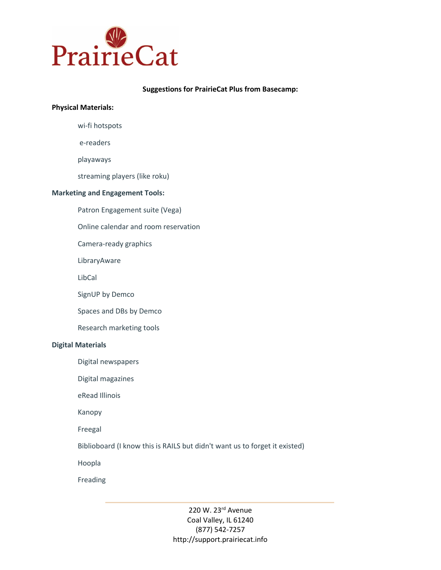

#### **Suggestions for PrairieCat Plus from Basecamp:**

# **Physical Materials:**

wi-fi hotspots

e-readers

playaways

streaming players (like roku)

#### **Marketing and Engagement Tools:**

Patron Engagement suite (Vega)

Online calendar and room reservation

Camera-ready graphics

LibraryAware

LibCal

SignUP by Demco

Spaces and DBs by Demco

Research marketing tools

#### **Digital Materials**

Digital newspapers

Digital magazines

eRead Illinois

Kanopy

Freegal

Biblioboard (I know this is RAILS but didn't want us to forget it existed)

Hoopla

Freading

220 W. 23rd Avenue Coal Valley, IL 61240 (877) 542-7257 http://support.prairiecat.info